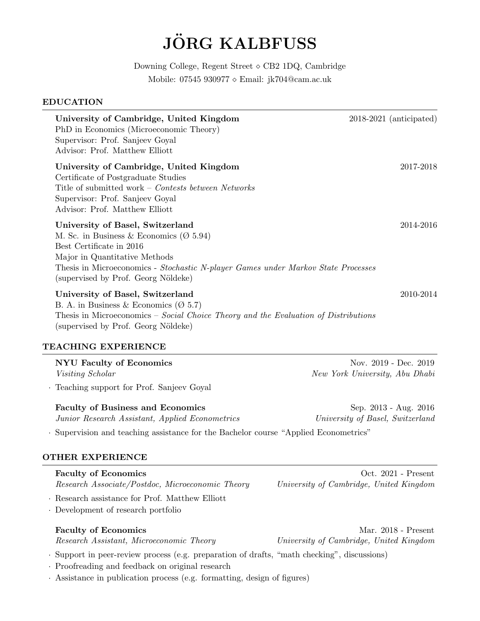# **JÖRG KALBFUSS**

Downing College, Regent Street ⋄ CB2 1DQ, Cambridge Mobile: 07545 930977 ⋄ Email: jk704@cam.ac.uk

#### EDUCATION

| University of Cambridge, United Kingdom<br>PhD in Economics (Microeconomic Theory)<br>Supervisor: Prof. Sanjeev Goyal                                                                                                                                                             | $2018-2021$ (anticipated) |
|-----------------------------------------------------------------------------------------------------------------------------------------------------------------------------------------------------------------------------------------------------------------------------------|---------------------------|
| Advisor: Prof. Matthew Elliott<br>University of Cambridge, United Kingdom<br>Certificate of Postgraduate Studies<br>Title of submitted work – Contests between Networks<br>Supervisor: Prof. Sanjeev Goyal<br>Advisor: Prof. Matthew Elliott                                      | 2017-2018                 |
| University of Basel, Switzerland<br>M. Sc. in Business & Economics ( $\varnothing$ 5.94)<br>Best Certificate in 2016<br>Major in Quantitative Methods<br>Thesis in Microeconomics - Stochastic N-player Games under Markov State Processes<br>(supervised by Prof. Georg Nöldeke) | 2014-2016                 |
| University of Basel, Switzerland<br>B. A. in Business & Economics ( $\varnothing$ 5.7)<br>Thesis in Microeconomics – Social Choice Theory and the Evaluation of Distributions<br>(supervised by Prof. Georg Nöldeke)                                                              | 2010-2014                 |
| TEACHING EXPERIENCE                                                                                                                                                                                                                                                               |                           |
| <b>NYU Faculty of Economics</b>                                                                                                                                                                                                                                                   | Nov. 2019 - Dec. 2019     |

Visiting Scholar New York University, Abu Dhabi

· Teaching support for Prof. Sanjeev Goyal

Faculty of Business and Economics Sep. 2013 - Aug. 2016 Junior Research Assistant, Applied Econometrics University of Basel, Switzerland

· Supervision and teaching assistance for the Bachelor course "Applied Econometrics"

### OTHER EXPERIENCE

Faculty of Economics Context of Economics Context of Economics Context of Economics Context of Economics Context of Economics Context of Economics Context of Economics Context of Economics Context of Economics Context of E Research Associate/Postdoc, Microeconomic Theory University of Cambridge, United Kingdom

· Research assistance for Prof. Matthew Elliott

· Development of research portfolio

Research Assistant, Microeconomic Theory University of Cambridge, United Kingdom

· Support in peer-review process (e.g. preparation of drafts, "math checking", discussions)

· Proofreading and feedback on original research

· Assistance in publication process (e.g. formatting, design of figures)

Faculty of Economics Mar. 2018 - Present